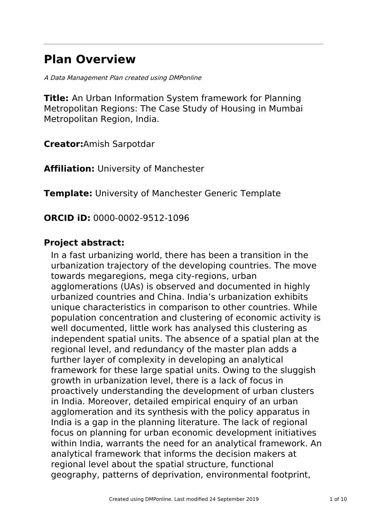# **Plan Overview**

A Data Management Plan created using DMPonline

**Title:** An Urban Information System framework for Planning Metropolitan Regions: The Case Study of Housing in Mumbai Metropolitan Region, India.

**Creator:**Amish Sarpotdar

**Affiliation:** University of Manchester

**Template:** University of Manchester Generic Template

**ORCID iD:** 0000-0002-9512-1096

# **Project abstract:**

In a fast urbanizing world, there has been a transition in the urbanization trajectory of the developing countries. The move towards megaregions, mega city-regions, urban agglomerations (UAs) is observed and documented in highly urbanized countries and China. India's urbanization exhibits unique characteristics in comparison to other countries. While population concentration and clustering of economic activity is well documented, little work has analysed this clustering as independent spatial units. The absence of a spatial plan at the regional level, and redundancy of the master plan adds a further layer of complexity in developing an analytical framework for these large spatial units. Owing to the sluggish growth in urbanization level, there is a lack of focus in proactively understanding the development of urban clusters in India. Moreover, detailed empirical enquiry of an urban agglomeration and its synthesis with the policy apparatus in India is a gap in the planning literature. The lack of regional focus on planning for urban economic development initiatives within India, warrants the need for an analytical framework. An analytical framework that informs the decision makers at regional level about the spatial structure, functional geography, patterns of deprivation, environmental footprint,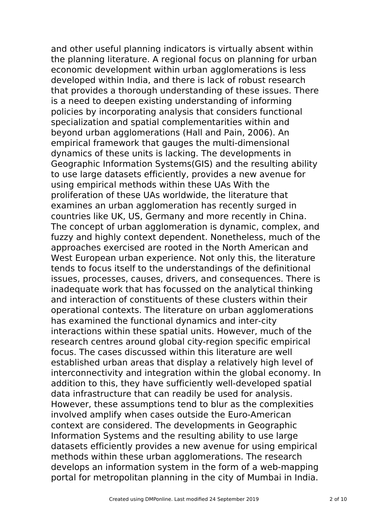and other useful planning indicators is virtually absent within the planning literature. A regional focus on planning for urban economic development within urban agglomerations is less developed within India, and there is lack of robust research that provides a thorough understanding of these issues. There is a need to deepen existing understanding of informing policies by incorporating analysis that considers functional specialization and spatial complementarities within and beyond urban agglomerations (Hall and Pain, 2006). An empirical framework that gauges the multi-dimensional dynamics of these units is lacking. The developments in Geographic Information Systems(GIS) and the resulting ability to use large datasets efficiently, provides a new avenue for using empirical methods within these UAs With the proliferation of these UAs worldwide, the literature that examines an urban agglomeration has recently surged in countries like UK, US, Germany and more recently in China. The concept of urban agglomeration is dynamic, complex, and fuzzy and highly context dependent. Nonetheless, much of the approaches exercised are rooted in the North American and West European urban experience. Not only this, the literature tends to focus itself to the understandings of the definitional issues, processes, causes, drivers, and consequences. There is inadequate work that has focussed on the analytical thinking and interaction of constituents of these clusters within their operational contexts. The literature on urban agglomerations has examined the functional dynamics and inter-city interactions within these spatial units. However, much of the research centres around global city-region specific empirical focus. The cases discussed within this literature are well established urban areas that display a relatively high level of interconnectivity and integration within the global economy. In addition to this, they have sufficiently well-developed spatial data infrastructure that can readily be used for analysis. However, these assumptions tend to blur as the complexities involved amplify when cases outside the Euro-American context are considered. The developments in Geographic Information Systems and the resulting ability to use large datasets efficiently provides a new avenue for using empirical methods within these urban agglomerations. The research develops an information system in the form of a web-mapping portal for metropolitan planning in the city of Mumbai in India.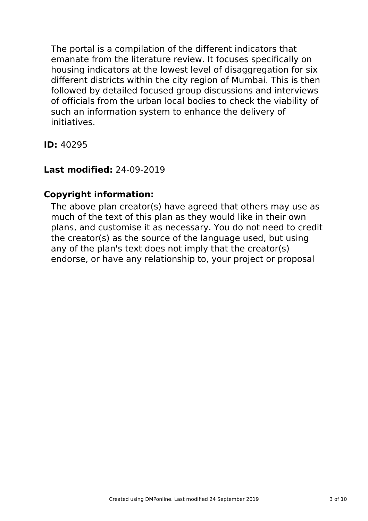The portal is a compilation of the different indicators that emanate from the literature review. It focuses specifically on housing indicators at the lowest level of disaggregation for six different districts within the city region of Mumbai. This is then followed by detailed focused group discussions and interviews of officials from the urban local bodies to check the viability of such an information system to enhance the delivery of initiatives.

**ID:** 40295

# **Last modified:** 24-09-2019

# **Copyright information:**

The above plan creator(s) have agreed that others may use as much of the text of this plan as they would like in their own plans, and customise it as necessary. You do not need to credit the creator(s) as the source of the language used, but using any of the plan's text does not imply that the creator(s) endorse, or have any relationship to, your project or proposal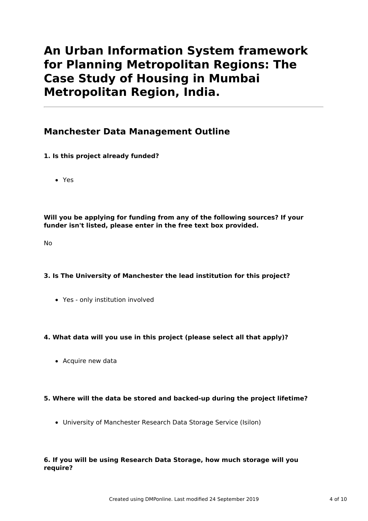# **An Urban Information System framework for Planning Metropolitan Regions: The Case Study of Housing in Mumbai Metropolitan Region, India.**

# **Manchester Data Management Outline**

## **1. Is this project already funded?**

Yes

**Will you be applying for funding from any of the following sources? If your funder isn't listed, please enter in the free text box provided.**

No

### **3. Is The University of Manchester the lead institution for this project?**

Yes - only institution involved

## **4. What data will you use in this project (please select all that apply)?**

• Acquire new data

### **5. Where will the data be stored and backed-up during the project lifetime?**

University of Manchester Research Data Storage Service (Isilon)

### **6. If you will be using Research Data Storage, how much storage will you require?**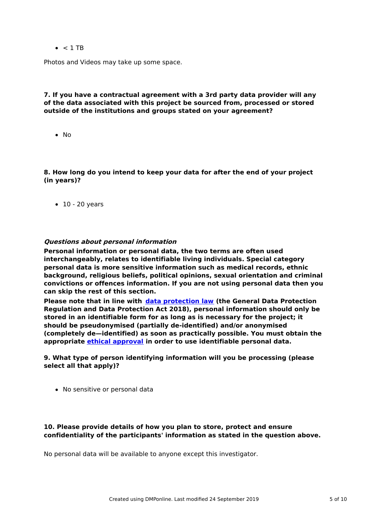$\bullet$  < 1 TR

Photos and Videos may take up some space.

### **7. If you have a contractual agreement with a 3rd party data provider will any of the data associated with this project be sourced from, processed or stored outside of the institutions and groups stated on your agreement?**

 $\bullet$  No

**8. How long do you intend to keep your data for after the end of your project (in years)?**

 $\bullet$  10 - 20 years

#### **Questions about personal information**

**Personal information or personal data, the two terms are often used interchangeably, relates to identifiable living individuals. Special category personal data is more sensitive information such as medical records, ethnic background, religious beliefs, political opinions, sexual orientation and criminal convictions or offences information. If you are not using personal data then you can skip the rest of this section.**

**Please note that in line with data [protection](http://www.staffnet.manchester.ac.uk/igo/data-protection/what-is-data-protection/) law (the General Data Protection Regulation and Data Protection Act 2018), personal information should only be stored in an identifiable form for as long as is necessary for the project; it should be pseudonymised (partially de-identified) and/or anonymised (completely de—identified) as soon as practically possible. You must obtain the appropriate ethical [approval](http://www.staffnet.manchester.ac.uk/services/rbess/governance/ethics/new-online-system-for-ethics-review-erm/) in order to use identifiable personal data.**

#### **9. What type of person identifying information will you be processing (please select all that apply)?**

• No sensitive or personal data

#### **10. Please provide details of how you plan to store, protect and ensure confidentiality of the participants' information as stated in the question above.**

No personal data will be available to anyone except this investigator.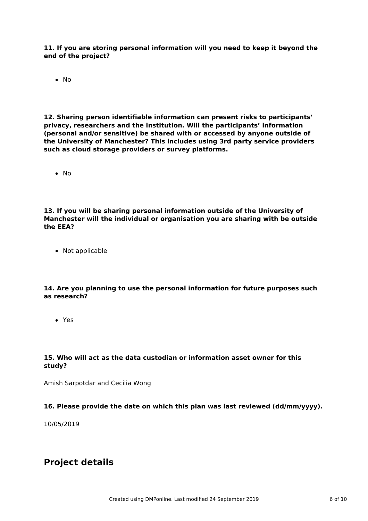**11. If you are storing personal information will you need to keep it beyond the end of the project?**

No

**12. Sharing person identifiable information can present risks to participants' privacy, researchers and the institution. Will the participants' information (personal and/or sensitive) be shared with or accessed by anyone outside of the University of Manchester? This includes using 3rd party service providers such as cloud storage providers or survey platforms.**

 $\bullet$  No

**13. If you will be sharing personal information outside of the University of Manchester will the individual or organisation you are sharing with be outside the EEA?**

• Not applicable

**14. Are you planning to use the personal information for future purposes such as research?**

Yes

#### **15. Who will act as the data custodian or information asset owner for this study?**

Amish Sarpotdar and Cecilia Wong

### **16. Please provide the date on which this plan was last reviewed (dd/mm/yyyy).**

10/05/2019

# **Project details**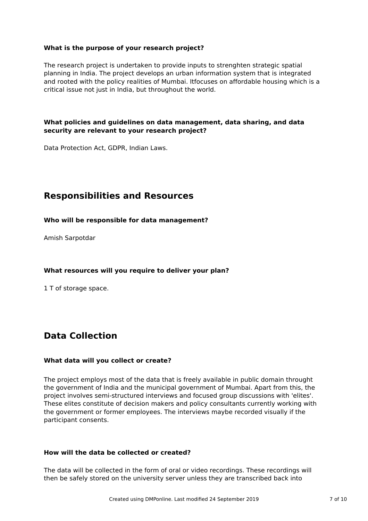### **What is the purpose of your research project?**

The research project is undertaken to provide inputs to strenghten strategic spatial planning in India. The project develops an urban information system that is integrated and rooted with the policy realities of Mumbai. Itfocuses on affordable housing which is a critical issue not just in India, but throughout the world.

### **What policies and guidelines on data management, data sharing, and data security are relevant to your research project?**

Data Protection Act, GDPR, Indian Laws.

# **Responsibilities and Resources**

#### **Who will be responsible for data management?**

Amish Sarpotdar

### **What resources will you require to deliver your plan?**

1 T of storage space.

# **Data Collection**

### **What data will you collect or create?**

The project employs most of the data that is freely available in public domain throught the government of India and the municipal government of Mumbai. Apart from this, the project involves semi-structured interviews and focused group discussions with 'elites'. These elites constitute of decision makers and policy consultants currently working with the government or former employees. The interviews maybe recorded visually if the participant consents.

#### **How will the data be collected or created?**

The data will be collected in the form of oral or video recordings. These recordings will then be safely stored on the university server unless they are transcribed back into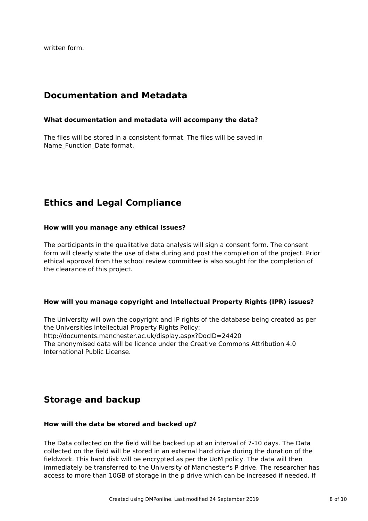written form.

# **Documentation and Metadata**

#### **What documentation and metadata will accompany the data?**

The files will be stored in a consistent format. The files will be saved in Name Function Date format.

# **Ethics and Legal Compliance**

#### **How will you manage any ethical issues?**

The participants in the qualitative data analysis will sign a consent form. The consent form will clearly state the use of data during and post the completion of the project. Prior ethical approval from the school review committee is also sought for the completion of the clearance of this project.

#### **How will you manage copyright and Intellectual Property Rights (IPR) issues?**

The University will own the copyright and IP rights of the database being created as per the Universities Intellectual Property Rights Policy; http://documents.manchester.ac.uk/display.aspx?DocID=24420 The anonymised data will be licence under the Creative Commons Attribution 4.0 International Public License.

# **Storage and backup**

### **How will the data be stored and backed up?**

The Data collected on the field will be backed up at an interval of 7-10 days. The Data collected on the field will be stored in an external hard drive during the duration of the fieldwork. This hard disk will be encrypted as per the UoM policy. The data will then immediately be transferred to the University of Manchester's P drive. The researcher has access to more than 10GB of storage in the p drive which can be increased if needed. If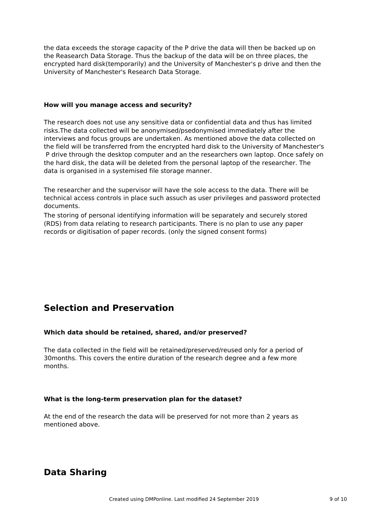the data exceeds the storage capacity of the P drive the data will then be backed up on the Reasearch Data Storage. Thus the backup of the data will be on three places, the encrypted hard disk(temporarily) and the University of Manchester's p drive and then the University of Manchester's Research Data Storage.

#### **How will you manage access and security?**

The research does not use any sensitive data or confidential data and thus has limited risks.The data collected will be anonymised/psedonymised immediately after the interviews and focus groups are undertaken. As mentioned above the data collected on the field will be transferred from the encrypted hard disk to the University of Manchester's P drive through the desktop computer and an the researchers own laptop. Once safely on the hard disk, the data will be deleted from the personal laptop of the researcher. The data is organised in a systemised file storage manner.

The researcher and the supervisor will have the sole access to the data. There will be technical access controls in place such assuch as user privileges and password protected documents.

The storing of personal identifying information will be separately and securely stored (RDS) from data relating to research participants. There is no plan to use any paper records or digitisation of paper records. (only the signed consent forms)

# **Selection and Preservation**

### **Which data should be retained, shared, and/or preserved?**

The data collected in the field will be retained/preserved/reused only for a period of 30months. This covers the entire duration of the research degree and a few more months.

### **What is the long-term preservation plan for the dataset?**

At the end of the research the data will be preserved for not more than 2 years as mentioned above.

# **Data Sharing**